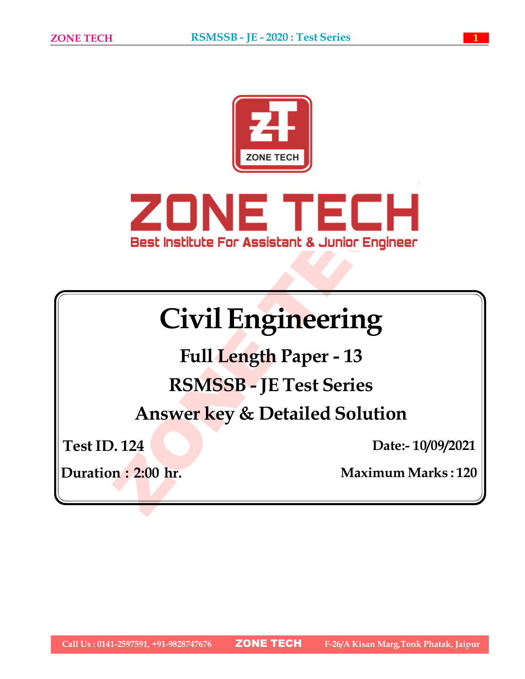



# Civil Engineering

Full Length Paper - 13 RSMSSB - JE Test Series

Answer key & Detailed Solution

Test ID. 124

Date:- 10/09/2021

Duration : 2:00 hr. Maximum Marks : 120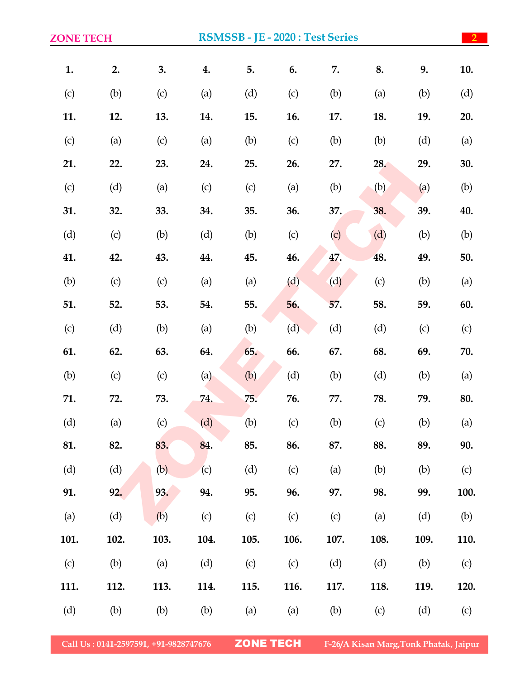| <b>ZONE TECH</b> |      | RSMSSB - JE - 2020 : Test Series |      |      |      |      |      |      | $\sqrt{2}$ |
|------------------|------|----------------------------------|------|------|------|------|------|------|------------|
| 1.               | 2.   | 3.                               | 4.   | 5.   | 6.   | 7.   | 8.   | 9.   | 10.        |
| (c)              | (b)  | (c)                              | (a)  | (d)  | (c)  | (b)  | (a)  | (b)  | (d)        |
| 11.              | 12.  | 13.                              | 14.  | 15.  | 16.  | 17.  | 18.  | 19.  | 20.        |
| (c)              | (a)  | (c)                              | (a)  | (b)  | (c)  | (b)  | (b)  | (d)  | (a)        |
| 21.              | 22.  | 23.                              | 24.  | 25.  | 26.  | 27.  | 28.  | 29.  | 30.        |
| (c)              | (d)  | (a)                              | (c)  | (c)  | (a)  | (b)  | (b)  | (a)  | (b)        |
| 31.              | 32.  | 33.                              | 34.  | 35.  | 36.  | 37.  | 38.  | 39.  | 40.        |
| (d)              | (c)  | (b)                              | (d)  | (b)  | (c)  | (c)  | (d)  | (b)  | (b)        |
| 41.              | 42.  | 43.                              | 44.  | 45.  | 46.  | 47.  | 48.  | 49.  | 50.        |
| (b)              | (c)  | (c)                              | (a)  | (a)  | (d)  | (d)  | (c)  | (b)  | (a)        |
| 51.              | 52.  | 53.                              | 54.  | 55.  | 56.  | 57.  | 58.  | 59.  | 60.        |
| (c)              | (d)  | (b)                              | (a)  | (b)  | (d)  | (d)  | (d)  | (c)  | (c)        |
| 61.              | 62.  | 63.                              | 64.  | 65.  | 66.  | 67.  | 68.  | 69.  | 70.        |
| (b)              | (c)  | (c)                              | (a)  | (b)  | (d)  | (b)  | (d)  | (b)  | (a)        |
| 71.              | 72.  | 73.                              | 74.  | 75.  | 76.  | 77.  | 78.  | 79.  | 80.        |
| (d)              | (a)  | (c)                              | (d)  | (b)  | (c)  | (b)  | (c)  | (b)  | (a)        |
| 81.              | 82.  | 83.                              | 84.  | 85.  | 86.  | 87.  | 88.  | 89.  | 90.        |
| (d)              | (d)  | (b)                              | (c)  | (d)  | (c)  | (a)  | (b)  | (b)  | (c)        |
| 91.              | 92.  | 93.                              | 94.  | 95.  | 96.  | 97.  | 98.  | 99.  | 100.       |
| (a)              | (d)  | (b)                              | (c)  | (c)  | (c)  | (c)  | (a)  | (d)  | (b)        |
| 101.             | 102. | 103.                             | 104. | 105. | 106. | 107. | 108. | 109. | 110.       |
| (c)              | (b)  | (a)                              | (d)  | (c)  | (c)  | (d)  | (d)  | (b)  | (c)        |
| 111.             | 112. | 113.                             | 114. | 115. | 116. | 117. | 118. | 119. | 120.       |
| (d)              | (b)  | (b)                              | (b)  | (a)  | (a)  | (b)  | (c)  | (d)  | (c)        |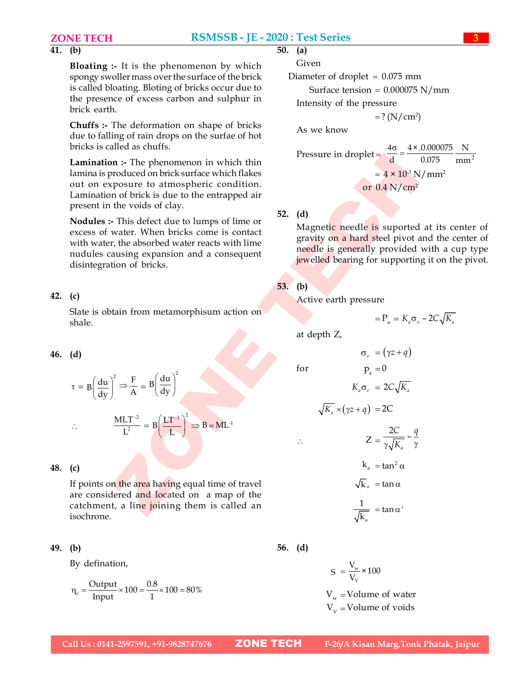# $\overline{41}$ . (b)

Bloating :- It is the phenomenon by which spongy swoller mass over the surface of the brick is called bloating. Bloting of bricks occur due to the presence of excess carbon and sulphur in brick earth.

Chuffs :- The deformation on shape of bricks due to falling of rain drops on the surfae of hot bricks is called as chuffs.

Lamination :- The phenomenon in which thin lamina is produced on brick surface which flakes out on exposure to atmospheric condition. Lamination of brick is due to the entrapped air present in the voids of clay.

Nodules :- This defect due to lumps of lime or excess of water. When bricks come is contact with water, the absorbed water reacts with lime nudules causing expansion and a consequent disintegration of bricks.

# 42. (c)

Slate is obtain from metamorphisum action on shale.

# 46. (d)

$$
\tau = B \left( \frac{du}{dy} \right)^2 \Rightarrow \frac{F}{A} = B \left( \frac{du}{dy} \right)^2
$$

$$
\therefore \qquad \frac{\text{MLT}^{-2}}{\text{L}^2} = \text{B} \left( \frac{\text{LT}^{-1}}{\text{L}} \right)^2 \Rightarrow \text{B} = \text{ML}^{-1}
$$

# 48. (c)

If points on the area having equal time of travel are considered and located on a map of the catchment, a line joining them is called an isochrone.

# 49. (b)

By defination,

$$
\eta_c = \frac{Output}{Input} \times 100 = \frac{0.8}{1} \times 100 = 80\%
$$

$$
\begin{array}{cc} 50. & (a) \end{array}
$$

Given

Diameter of droplet  $= 0.075$  mm

Surface tension =  $0.000075$  N/mm

Intensity of the pressure

 $=? (N/cm<sup>2</sup>)$ 

As we know

Pressure in droplet = 
$$
\frac{4\sigma}{d} = \frac{4 \times .0.000075}{0.075} \frac{N}{mm^2}
$$
  
=  $4 \times 10^3 N/mm^2$   
or 0.4 N/cm<sup>2</sup>

# 52. (d)

on :- The phenomenon in which thin<br>
crossure in dropslet =  $\frac{1}{d} = \frac{1}{0.075}$  mm<sup>2</sup><br>
crossure with finds:<br>
sposure to atmospheric condition.<br>
no fibric is due to the entrapped air<br>
when the voids of clay.<br>
The video de Magnetic needle is suported at its center of gravity on a hard steel pivot and the center of needle is generally provided with a cup type jewelled bearing for supporting it on the pivot.

 $\sigma_{\alpha} = (\gamma z + q)$ 

 $K_a \sigma_a = 2C_a/\overline{K_a}$ 

 $\frac{2C}{\sqrt{1-c}}$  – *a*

*C q*  $\gamma\sqrt{K_a}$   $\gamma$ 

# 53. (b)

Active earth pressure

$$
=P_{\rm a}=K_{\rm a}\sigma_{\rm v}-2C\sqrt{K_{\rm a}}
$$

at depth Z,

for  $p_a = 0$ 

$$
\sqrt{K_a} \times (\gamma z + q) = 2C
$$

$$
\therefore \qquad Z =
$$

$$
k_a = \tan^2 \alpha
$$
  

$$
\sqrt{k}_a = \tan \alpha
$$
  

$$
\frac{1}{\sqrt{1 - \epsilon}} = \tan \alpha'
$$

a

$$
\sqrt{\mathbf{k}}_{\text{a}}
$$

56. (d)

$$
S = \frac{V_w}{V_V} \times 100
$$

 $V_w$  = Volume of water  $V_v$  = Volume of voids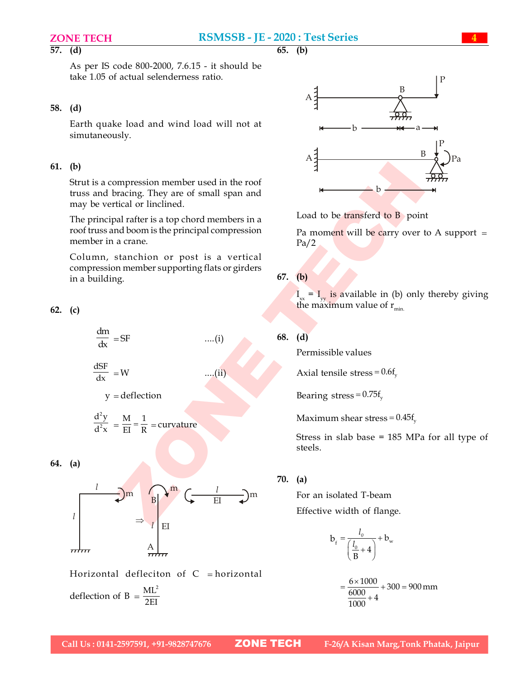# $\overline{57.}$  (d)

As per IS code 800-2000, 7.6.15 - it should be take 1.05 of actual selenderness ratio.

# 58. (d)

Earth quake load and wind load will not at simutaneously.

# 61. (b)

Strut is a compression member used in the roof truss and bracing. They are of small span and may be vertical or linclined.

The principal rafter is a top chord members in a roof truss and boom is the principal compression member in a crane.

Column, stanchion or post is a vertical compression member supporting flats or girders in a building.

62. (c)

$$
\frac{dm}{dx} = SF \qquad \qquad \dots (i)
$$

$$
\frac{\text{dSF}}{\text{dx}} = W \qquad \qquad \dots (ii)
$$

$$
y = deflection
$$

$$
\frac{d^2y}{d^2x} = \frac{M}{EI} = \frac{1}{R} = \text{curvature}
$$

# 64. (a)



Horizontal defleciton of  $C =$  horizontal deflection of B =  $\frac{ML^2}{2FL}$ 2EI





Load to be transferd to B point

Pa moment will be carry over to A support  $=$ Pa/2

# 67. (b)

 $I_{xx} = I_{yy}$  is available in (b) only thereby giving the maximum value of  $r_{\text{min}}$ .

# 68. (d)

Permissible values

Axial tensile stress =  $0.6f<sub>v</sub>$ 

Bearing stress =  $0.75f<sub>v</sub>$ 

Maximum shear stress  $= 0.45f_{v}$ 

Stress in slab base = 185 MPa for all type of steels.

## 70. (a)

Effective width of flange.

$$
b_{f} = \frac{l_{0}}{\left(\frac{l_{0}}{B} + 4\right)} + b_{w}
$$

$$
=\frac{6 \times 1000}{\frac{6000}{1000} + 4} + 300 = 900 \text{ mm}
$$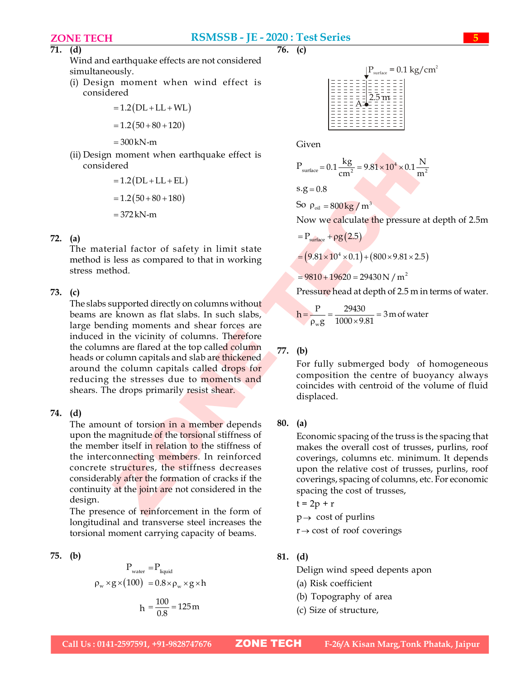Wind and earthquake effects are not considered simultaneously.

(i) Design moment when wind effect is considered

$$
= 1.2 (DL + LL + WL
$$

$$
= 1.2 (50 + 80 + 120)
$$

 $=300$  kN-m

(ii) Design moment when earthquake effect is considered

 1.2 DL LL EL 1.2 50 80 180 372 kN-m

# 72. (a)

The material factor of safety in limit state method is less as compared to that in working stress method.

# 73. (c)

moment when carthquoke effect is<br>  $-12(DL+LL+EL)$ <br>  $-12(DL+LL+EL)$ <br>  $-372kN-m$ <br>  $-372kN-m$ <br>  $-372kN-m$ <br>  $-372kN-m$ <br>  $-372kN-m$ <br>  $-372kN-m$ <br>  $-372kN-m$ <br>  $-372kN-m$ <br>  $-372kN-m$ <br>  $-372kN-m$ <br>  $-372kN-m$ <br>  $-372kN-m$ <br>  $-372kN-m$ <br>  $-372kN-m$ <br>  $-372$ The slabs supported directly on columns without beams are known as flat slabs. In such slabs, large bending moments and shear forces are induced in the vicinity of columns. Therefore the columns are flared at the top called column heads or column capitals and slab are thickened around the column capitals called drops for reducing the stresses due to moments and shears. The drops primarily resist shear.

# 74. (d)

The amount of torsion in a member depends upon the magnitude of the torsional stiffness of the member itself in relation to the stiffness of the interconnecting members. In reinforced concrete structures, the stiffness decreases considerably after the formation of cracks if the continuity at the joint are not considered in the design.

The presence of reinforcement in the form of longitudinal and transverse steel increases the torsional moment carrying capacity of beams.

75. (b)

$$
P_{\text{water}} = P_{\text{liquid}}
$$
  
\n
$$
\rho_{\text{w}} \times g \times (100) = 0.8 \times \rho_{\text{w}} \times g \times h
$$
  
\n
$$
h = \frac{100}{0.8} = 125 \text{ m}
$$

 $\overline{76.}$  (c)



Given

$$
P_{\text{surface}} = 0.1 \frac{\text{kg}}{\text{cm}^2} = 9.81 \times 10^4 \times 0.1 \frac{\text{N}}{\text{m}^2}
$$
  
s.g = 0.8

So 
$$
\rho_{oil} = 800 \, \text{kg} / \, \text{m}^3
$$

Now we calculate the pressure at depth of 2.5m

$$
= P_{\text{surface}} + \rho g (2.5)
$$

 $= (9.81 \times 10^{4} \times 0.1) + (800 \times 9.81 \times 2.5)$ 

 $= 9810 + 19620 = 29430 N / m<sup>2</sup>$ 

Pressure head at depth of 2.5 m in terms of water.

$$
h = \frac{P}{\rho_w g} = \frac{29430}{1000 \times 9.81} = 3 \text{ m of water}
$$

# 77. (b)

For fully submerged body of homogeneous composition the centre of buoyancy always coincides with centroid of the volume of fluid displaced.

# 80. (a)

Economic spacing of the truss is the spacing that makes the overall cost of trusses, purlins, roof coverings, columns etc. minimum. It depends upon the relative cost of trusses, purlins, roof coverings, spacing of columns, etc. For economic spacing the cost of trusses,

$$
t = 2p + r
$$

 $p \rightarrow \text{cost of purlins}$ 

 $r \rightarrow \text{cost}$  of roof coverings

# 81. (d)

Delign wind speed depents apon

- (a) Risk coefficient
- (b) Topography of area
- (c) Size of structure,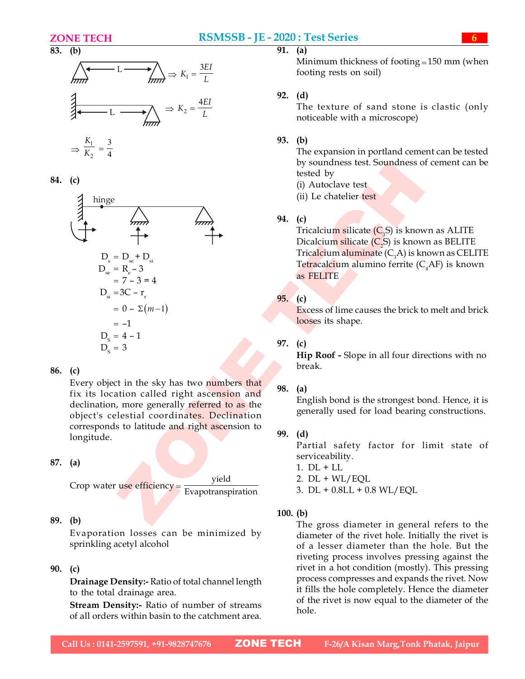



84. (c)



# 86. (c)

Every object in the sky has two numbers that fix its location called right ascension and declination, more generally referred to as the object's celestial coordinates. Declination corresponds to latitude and right ascension to longitude.

# 87. (a)

Crop water use efficiency =  $\frac{yield}{Example 2}$ Evapotranspiration

# 89. (b)

Evaporation losses can be minimized by sprinkling acetyl alcohol

# 90. (c)

Drainage Density:- Ratio of total channel length to the total drainage area.

Stream Density:- Ratio of number of streams of all orders within basin to the catchment area.

# $\overline{91.}$  (a)

 $L \longrightarrow \bigwedge_{i \in \mathbb{Z}} \Rightarrow K_i = \frac{3EI}{L}$  footing rests on soil) Minimum thickness of footing  $= 150$  mm (when footing rests on soil)

# 92. (d)

 $L \longrightarrow \sum_{i=1}^{\infty} L$  noticeable with a microscope) The texture of sand stone is clastic (only

# 93. (b)

The expansion in portland cement can be tested by soundness test. Soundness of cement can be tested by

- (i) Autoclave test
- (ii) Le chatelier test

# 94. (c)

Tricalcium silicate  $(C_{3}S)$  is known as ALITE Dicalcium silicate  $(C, S)$  is known as BELITE Tricalcium aluminate  $(C_{3}A)$  is known as CELITE Tetracalcium alumino ferrite  $(C_A A)$  is known as FELITE

# 95. (c)

Excess of lime causes the brick to melt and brick looses its shape.

# 97. (c)

Hip Roof - Slope in all four directions with no break.

# 98. (a)

English bond is the strongest bond. Hence, it is generally used for load bearing constructions.

# 99. (d)

Partial safety factor for limit state of serviceability.

- 1. DL + LL
- 2.  $DL + WL/EQL$
- 3. DL + 0.8LL + 0.8 WL/EQL

# 100. (b)

The gross diameter in general refers to the diameter of the rivet hole. Initially the rivet is of a lesser diameter than the hole. But the riveting process involves pressing against the rivet in a hot condition (mostly). This pressing process compresses and expands the rivet. Now it fills the hole completely. Hence the diameter of the rivet is now equal to the diameter of the hole.